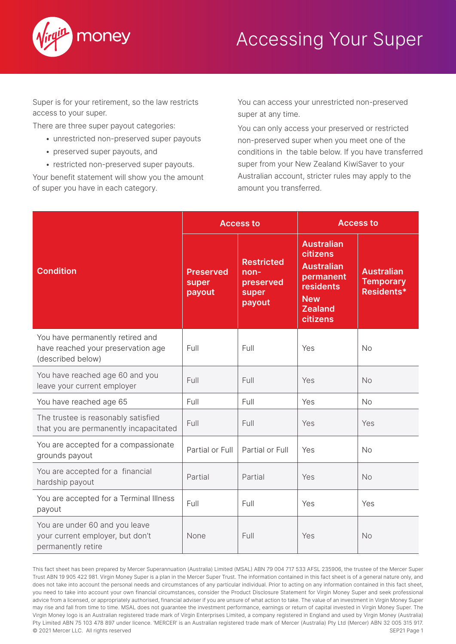

## Accessing Your Super

Super is for your retirement, so the law restricts access to your super.

There are three super payout categories:

- unrestricted non-preserved super payouts
- preserved super payouts, and
- restricted non-preserved super payouts.

Your benefit statement will show you the amount of super you have in each category.

You can access your unrestricted non-preserved super at any time.

You can only access your preserved or restricted non-preserved super when you meet one of the conditions in the table below. If you have transferred super from your New Zealand KiwiSaver to your Australian account, stricter rules may apply to the amount you transferred.

|                                                                                             | <b>Access to</b>                    |                                                           | <b>Access to</b>                                                                                                                |                                                     |
|---------------------------------------------------------------------------------------------|-------------------------------------|-----------------------------------------------------------|---------------------------------------------------------------------------------------------------------------------------------|-----------------------------------------------------|
| <b>Condition</b>                                                                            | <b>Preserved</b><br>super<br>payout | <b>Restricted</b><br>non-<br>preserved<br>super<br>payout | <b>Australian</b><br>citizens<br><b>Australian</b><br>permanent<br><b>residents</b><br><b>New</b><br><b>Zealand</b><br>citizens | <b>Australian</b><br><b>Temporary</b><br>Residents* |
| You have permanently retired and<br>have reached your preservation age<br>(described below) | Full                                | Full                                                      | Yes                                                                                                                             | <b>No</b>                                           |
| You have reached age 60 and you<br>leave your current employer                              | Full                                | Full                                                      | Yes                                                                                                                             | <b>No</b>                                           |
| You have reached age 65                                                                     | Full                                | Full                                                      | Yes                                                                                                                             | <b>No</b>                                           |
| The trustee is reasonably satisfied<br>that you are permanently incapacitated               | Full                                | Full                                                      | Yes                                                                                                                             | Yes                                                 |
| You are accepted for a compassionate<br>grounds payout                                      | Partial or Full                     | Partial or Full                                           | Yes                                                                                                                             | <b>No</b>                                           |
| You are accepted for a financial<br>hardship payout                                         | Partial                             | Partial                                                   | Yes                                                                                                                             | <b>No</b>                                           |
| You are accepted for a Terminal Illness<br>payout                                           | Full                                | Full                                                      | Yes                                                                                                                             | Yes                                                 |
| You are under 60 and you leave<br>your current employer, but don't<br>permanently retire    | None                                | Full                                                      | Yes                                                                                                                             | No                                                  |

This fact sheet has been prepared by Mercer Superannuation (Australia) Limited (MSAL) ABN 79 004 717 533 AFSL 235906, the trustee of the Mercer Super Trust ABN 19 905 422 981. Virgin Money Super is a plan in the Mercer Super Trust. The information contained in this fact sheet is of a general nature only, and does not take into account the personal needs and circumstances of any particular individual. Prior to acting on any information contained in this fact sheet, you need to take into account your own financial circumstances, consider the Product Disclosure Statement for Virgin Money Super and seek professional advice from a licensed, or appropriately authorised, financial adviser if you are unsure of what action to take. The value of an investment in Virgin Money Super may rise and fall from time to time. MSAL does not guarantee the investment performance, earnings or return of capital invested in Virgin Money Super. The Virgin Money logo is an Australian registered trade mark of Virgin Enterprises Limited, a company registered in England and used by Virgin Money (Australia) Pty Limited ABN 75 103 478 897 under licence. 'MERCER' is an Australian registered trade mark of Mercer (Australia) Pty Ltd (Mercer) ABN 32 005 315 917. © 2021 Mercer LLC. All rights reserved SEP21 Page 1